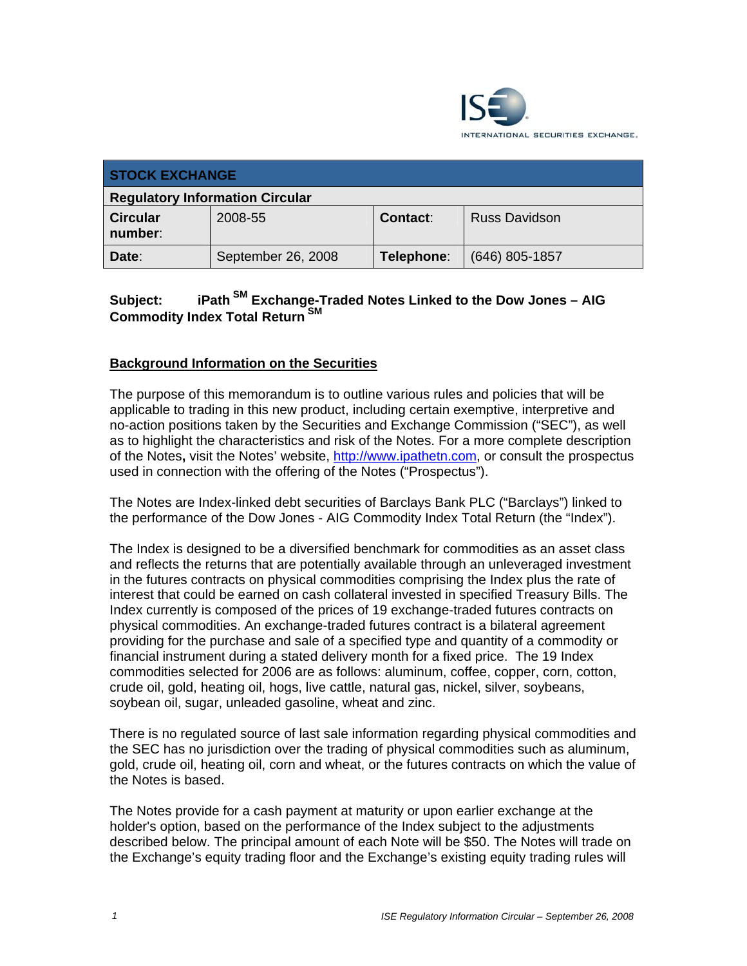

| <b>STOCK EXCHANGE</b>                  |                    |                 |                      |
|----------------------------------------|--------------------|-----------------|----------------------|
| <b>Regulatory Information Circular</b> |                    |                 |                      |
| <b>Circular</b><br>number:             | 2008-55            | <b>Contact:</b> | <b>Russ Davidson</b> |
| Date:                                  | September 26, 2008 | Telephone:      | $(646)$ 805-1857     |

# **Subject: iPath SM Exchange-Traded Notes Linked to the Dow Jones – AIG Commodity Index Total Return SM**

# **Background Information on the Securities**

The purpose of this memorandum is to outline various rules and policies that will be applicable to trading in this new product, including certain exemptive, interpretive and no-action positions taken by the Securities and Exchange Commission ("SEC"), as well as to highlight the characteristics and risk of the Notes. For a more complete description of the Notes**,** visit the Notes' website, http://www.ipathetn.com, or consult the prospectus used in connection with the offering of the Notes ("Prospectus").

The Notes are Index-linked debt securities of Barclays Bank PLC ("Barclays") linked to the performance of the Dow Jones - AIG Commodity Index Total Return (the "Index").

The Index is designed to be a diversified benchmark for commodities as an asset class and reflects the returns that are potentially available through an unleveraged investment in the futures contracts on physical commodities comprising the Index plus the rate of interest that could be earned on cash collateral invested in specified Treasury Bills. The Index currently is composed of the prices of 19 exchange-traded futures contracts on physical commodities. An exchange-traded futures contract is a bilateral agreement providing for the purchase and sale of a specified type and quantity of a commodity or financial instrument during a stated delivery month for a fixed price. The 19 Index commodities selected for 2006 are as follows: aluminum, coffee, copper, corn, cotton, crude oil, gold, heating oil, hogs, live cattle, natural gas, nickel, silver, soybeans, soybean oil, sugar, unleaded gasoline, wheat and zinc.

There is no regulated source of last sale information regarding physical commodities and the SEC has no jurisdiction over the trading of physical commodities such as aluminum, gold, crude oil, heating oil, corn and wheat, or the futures contracts on which the value of the Notes is based.

The Notes provide for a cash payment at maturity or upon earlier exchange at the holder's option, based on the performance of the Index subject to the adjustments described below. The principal amount of each Note will be \$50. The Notes will trade on the Exchange's equity trading floor and the Exchange's existing equity trading rules will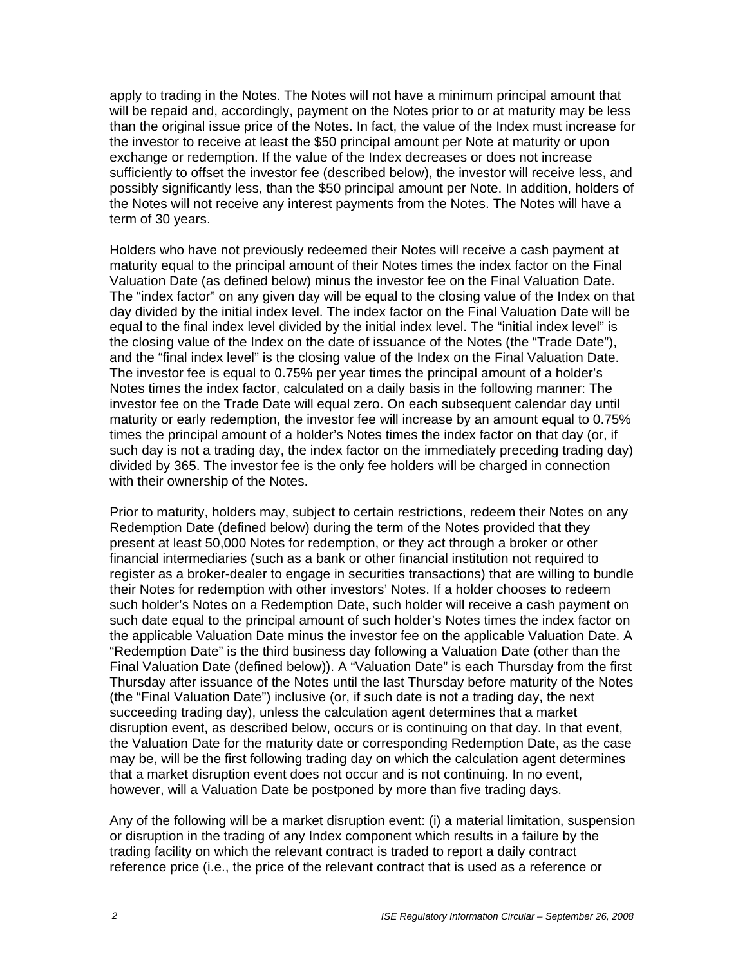apply to trading in the Notes. The Notes will not have a minimum principal amount that will be repaid and, accordingly, payment on the Notes prior to or at maturity may be less than the original issue price of the Notes. In fact, the value of the Index must increase for the investor to receive at least the \$50 principal amount per Note at maturity or upon exchange or redemption. If the value of the Index decreases or does not increase sufficiently to offset the investor fee (described below), the investor will receive less, and possibly significantly less, than the \$50 principal amount per Note. In addition, holders of the Notes will not receive any interest payments from the Notes. The Notes will have a term of 30 years.

Holders who have not previously redeemed their Notes will receive a cash payment at maturity equal to the principal amount of their Notes times the index factor on the Final Valuation Date (as defined below) minus the investor fee on the Final Valuation Date. The "index factor" on any given day will be equal to the closing value of the Index on that day divided by the initial index level. The index factor on the Final Valuation Date will be equal to the final index level divided by the initial index level. The "initial index level" is the closing value of the Index on the date of issuance of the Notes (the "Trade Date"), and the "final index level" is the closing value of the Index on the Final Valuation Date. The investor fee is equal to 0.75% per year times the principal amount of a holder's Notes times the index factor, calculated on a daily basis in the following manner: The investor fee on the Trade Date will equal zero. On each subsequent calendar day until maturity or early redemption, the investor fee will increase by an amount equal to 0.75% times the principal amount of a holder's Notes times the index factor on that day (or, if such day is not a trading day, the index factor on the immediately preceding trading day) divided by 365. The investor fee is the only fee holders will be charged in connection with their ownership of the Notes.

Prior to maturity, holders may, subject to certain restrictions, redeem their Notes on any Redemption Date (defined below) during the term of the Notes provided that they present at least 50,000 Notes for redemption, or they act through a broker or other financial intermediaries (such as a bank or other financial institution not required to register as a broker-dealer to engage in securities transactions) that are willing to bundle their Notes for redemption with other investors' Notes. If a holder chooses to redeem such holder's Notes on a Redemption Date, such holder will receive a cash payment on such date equal to the principal amount of such holder's Notes times the index factor on the applicable Valuation Date minus the investor fee on the applicable Valuation Date. A "Redemption Date" is the third business day following a Valuation Date (other than the Final Valuation Date (defined below)). A "Valuation Date" is each Thursday from the first Thursday after issuance of the Notes until the last Thursday before maturity of the Notes (the "Final Valuation Date") inclusive (or, if such date is not a trading day, the next succeeding trading day), unless the calculation agent determines that a market disruption event, as described below, occurs or is continuing on that day. In that event, the Valuation Date for the maturity date or corresponding Redemption Date, as the case may be, will be the first following trading day on which the calculation agent determines that a market disruption event does not occur and is not continuing. In no event, however, will a Valuation Date be postponed by more than five trading days.

Any of the following will be a market disruption event: (i) a material limitation, suspension or disruption in the trading of any Index component which results in a failure by the trading facility on which the relevant contract is traded to report a daily contract reference price (i.e., the price of the relevant contract that is used as a reference or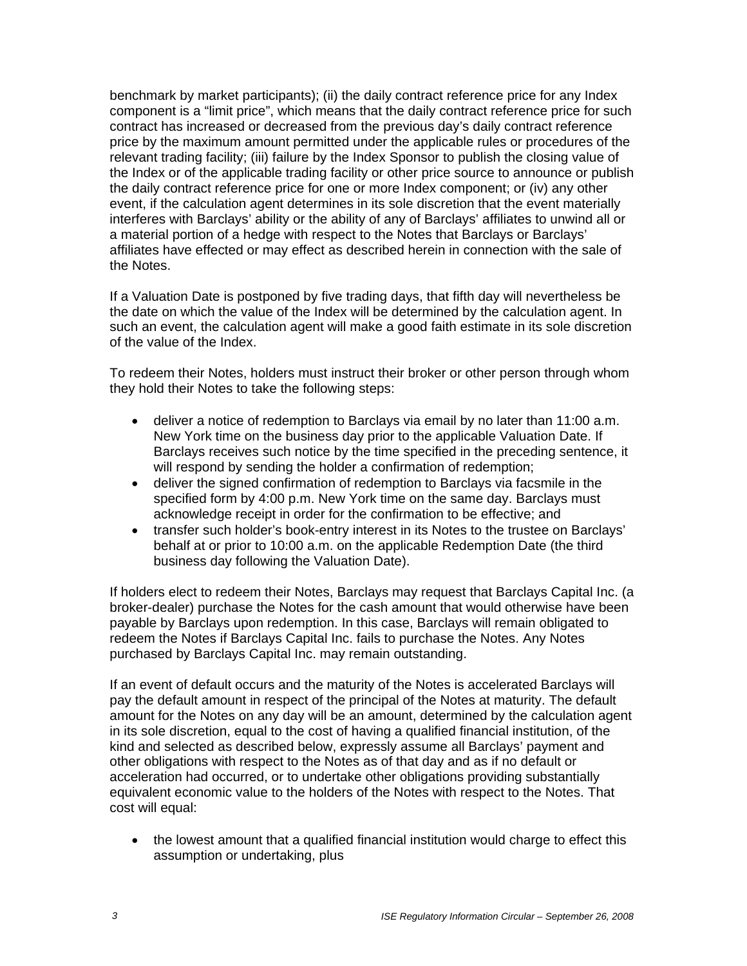benchmark by market participants); (ii) the daily contract reference price for any Index component is a "limit price", which means that the daily contract reference price for such contract has increased or decreased from the previous day's daily contract reference price by the maximum amount permitted under the applicable rules or procedures of the relevant trading facility; (iii) failure by the Index Sponsor to publish the closing value of the Index or of the applicable trading facility or other price source to announce or publish the daily contract reference price for one or more Index component; or (iv) any other event, if the calculation agent determines in its sole discretion that the event materially interferes with Barclays' ability or the ability of any of Barclays' affiliates to unwind all or a material portion of a hedge with respect to the Notes that Barclays or Barclays' affiliates have effected or may effect as described herein in connection with the sale of the Notes.

If a Valuation Date is postponed by five trading days, that fifth day will nevertheless be the date on which the value of the Index will be determined by the calculation agent. In such an event, the calculation agent will make a good faith estimate in its sole discretion of the value of the Index.

To redeem their Notes, holders must instruct their broker or other person through whom they hold their Notes to take the following steps:

- deliver a notice of redemption to Barclays via email by no later than 11:00 a.m. New York time on the business day prior to the applicable Valuation Date. If Barclays receives such notice by the time specified in the preceding sentence, it will respond by sending the holder a confirmation of redemption;
- deliver the signed confirmation of redemption to Barclays via facsmile in the specified form by 4:00 p.m. New York time on the same day. Barclays must acknowledge receipt in order for the confirmation to be effective; and
- transfer such holder's book-entry interest in its Notes to the trustee on Barclays' behalf at or prior to 10:00 a.m. on the applicable Redemption Date (the third business day following the Valuation Date).

If holders elect to redeem their Notes, Barclays may request that Barclays Capital Inc. (a broker-dealer) purchase the Notes for the cash amount that would otherwise have been payable by Barclays upon redemption. In this case, Barclays will remain obligated to redeem the Notes if Barclays Capital Inc. fails to purchase the Notes. Any Notes purchased by Barclays Capital Inc. may remain outstanding.

If an event of default occurs and the maturity of the Notes is accelerated Barclays will pay the default amount in respect of the principal of the Notes at maturity. The default amount for the Notes on any day will be an amount, determined by the calculation agent in its sole discretion, equal to the cost of having a qualified financial institution, of the kind and selected as described below, expressly assume all Barclays' payment and other obligations with respect to the Notes as of that day and as if no default or acceleration had occurred, or to undertake other obligations providing substantially equivalent economic value to the holders of the Notes with respect to the Notes. That cost will equal:

• the lowest amount that a qualified financial institution would charge to effect this assumption or undertaking, plus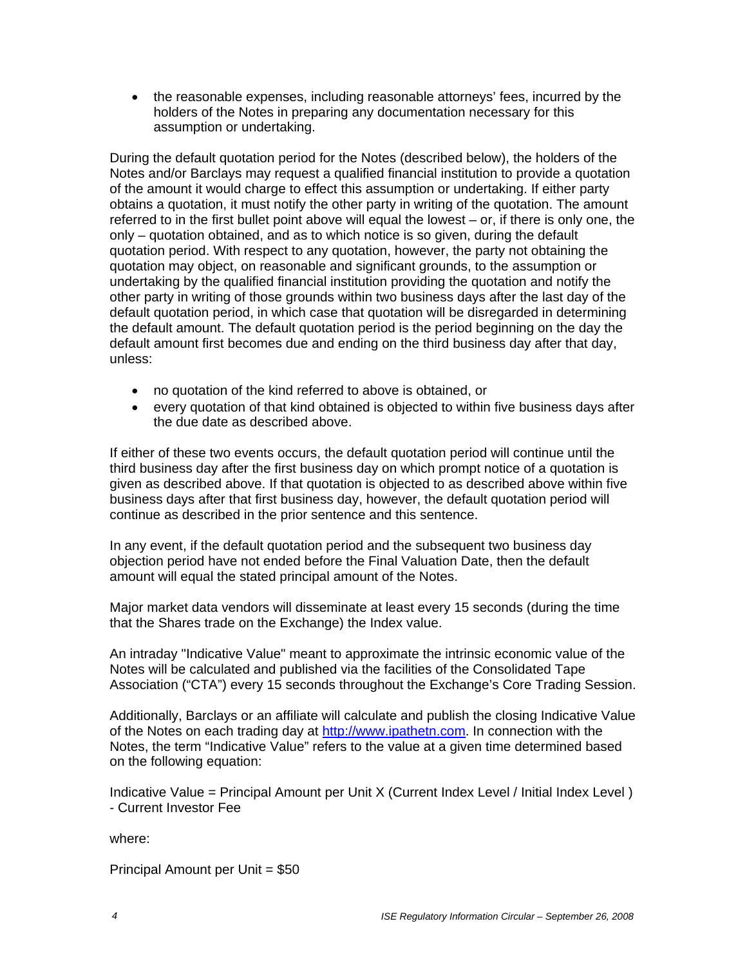• the reasonable expenses, including reasonable attorneys' fees, incurred by the holders of the Notes in preparing any documentation necessary for this assumption or undertaking.

During the default quotation period for the Notes (described below), the holders of the Notes and/or Barclays may request a qualified financial institution to provide a quotation of the amount it would charge to effect this assumption or undertaking. If either party obtains a quotation, it must notify the other party in writing of the quotation. The amount referred to in the first bullet point above will equal the lowest – or, if there is only one, the only – quotation obtained, and as to which notice is so given, during the default quotation period. With respect to any quotation, however, the party not obtaining the quotation may object, on reasonable and significant grounds, to the assumption or undertaking by the qualified financial institution providing the quotation and notify the other party in writing of those grounds within two business days after the last day of the default quotation period, in which case that quotation will be disregarded in determining the default amount. The default quotation period is the period beginning on the day the default amount first becomes due and ending on the third business day after that day, unless:

- no quotation of the kind referred to above is obtained, or
- every quotation of that kind obtained is objected to within five business days after the due date as described above.

If either of these two events occurs, the default quotation period will continue until the third business day after the first business day on which prompt notice of a quotation is given as described above. If that quotation is objected to as described above within five business days after that first business day, however, the default quotation period will continue as described in the prior sentence and this sentence.

In any event, if the default quotation period and the subsequent two business day objection period have not ended before the Final Valuation Date, then the default amount will equal the stated principal amount of the Notes.

Major market data vendors will disseminate at least every 15 seconds (during the time that the Shares trade on the Exchange) the Index value.

An intraday "Indicative Value" meant to approximate the intrinsic economic value of the Notes will be calculated and published via the facilities of the Consolidated Tape Association ("CTA") every 15 seconds throughout the Exchange's Core Trading Session.

Additionally, Barclays or an affiliate will calculate and publish the closing Indicative Value of the Notes on each trading day at http://www.ipathetn.com. In connection with the Notes, the term "Indicative Value" refers to the value at a given time determined based on the following equation:

Indicative Value = Principal Amount per Unit X (Current Index Level / Initial Index Level ) - Current Investor Fee

where:

Principal Amount per Unit = \$50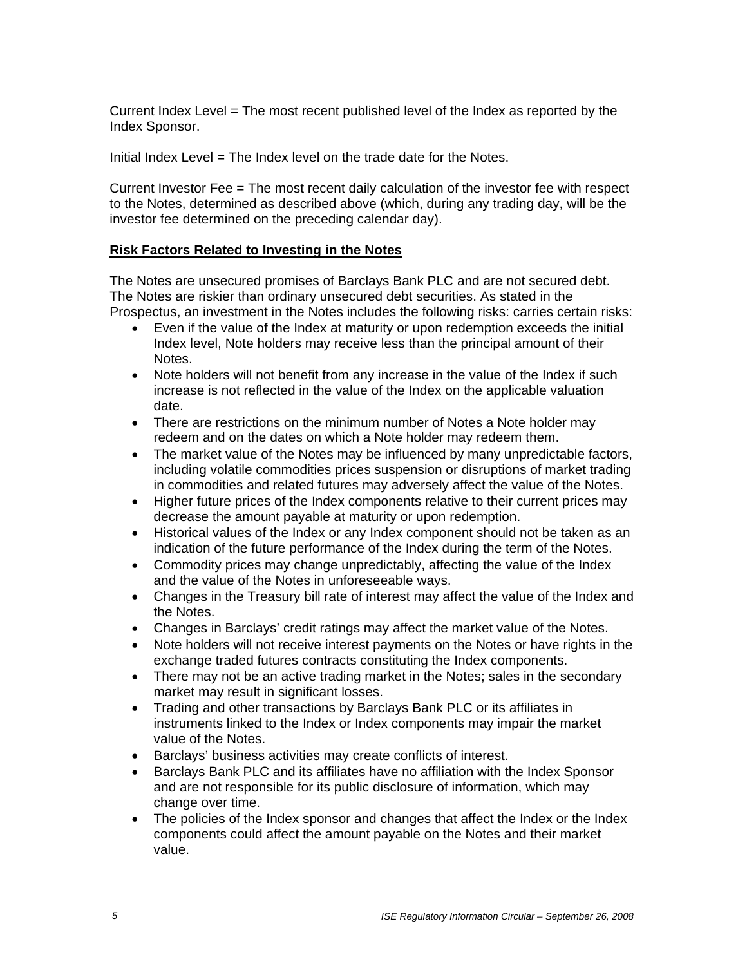Current Index Level = The most recent published level of the Index as reported by the Index Sponsor.

Initial Index Level  $=$  The Index level on the trade date for the Notes.

Current Investor Fee = The most recent daily calculation of the investor fee with respect to the Notes, determined as described above (which, during any trading day, will be the investor fee determined on the preceding calendar day).

### **Risk Factors Related to Investing in the Notes**

The Notes are unsecured promises of Barclays Bank PLC and are not secured debt. The Notes are riskier than ordinary unsecured debt securities. As stated in the Prospectus, an investment in the Notes includes the following risks: carries certain risks:

- Even if the value of the Index at maturity or upon redemption exceeds the initial Index level, Note holders may receive less than the principal amount of their Notes.
- Note holders will not benefit from any increase in the value of the Index if such increase is not reflected in the value of the Index on the applicable valuation date.
- There are restrictions on the minimum number of Notes a Note holder may redeem and on the dates on which a Note holder may redeem them.
- The market value of the Notes may be influenced by many unpredictable factors, including volatile commodities prices suspension or disruptions of market trading in commodities and related futures may adversely affect the value of the Notes.
- Higher future prices of the Index components relative to their current prices may decrease the amount payable at maturity or upon redemption.
- Historical values of the Index or any Index component should not be taken as an indication of the future performance of the Index during the term of the Notes.
- Commodity prices may change unpredictably, affecting the value of the Index and the value of the Notes in unforeseeable ways.
- Changes in the Treasury bill rate of interest may affect the value of the Index and the Notes.
- Changes in Barclays' credit ratings may affect the market value of the Notes.
- Note holders will not receive interest payments on the Notes or have rights in the exchange traded futures contracts constituting the Index components.
- There may not be an active trading market in the Notes; sales in the secondary market may result in significant losses.
- Trading and other transactions by Barclays Bank PLC or its affiliates in instruments linked to the Index or Index components may impair the market value of the Notes.
- Barclays' business activities may create conflicts of interest.
- Barclays Bank PLC and its affiliates have no affiliation with the Index Sponsor and are not responsible for its public disclosure of information, which may change over time.
- The policies of the Index sponsor and changes that affect the Index or the Index components could affect the amount payable on the Notes and their market value.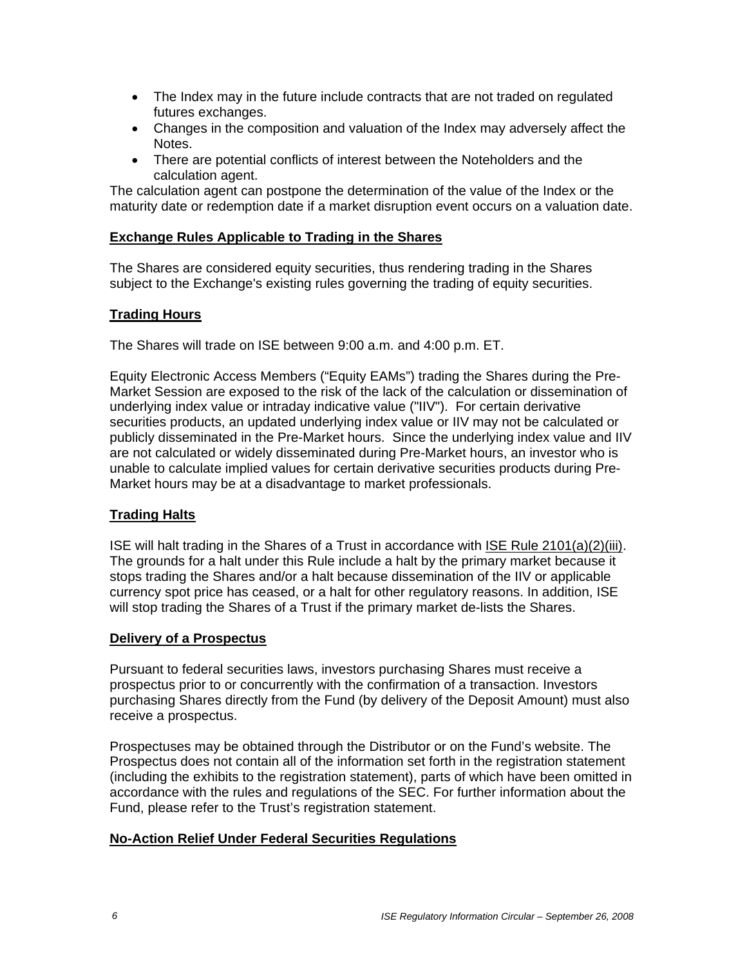- The Index may in the future include contracts that are not traded on regulated futures exchanges.
- Changes in the composition and valuation of the Index may adversely affect the Notes.
- There are potential conflicts of interest between the Noteholders and the calculation agent.

The calculation agent can postpone the determination of the value of the Index or the maturity date or redemption date if a market disruption event occurs on a valuation date.

### **Exchange Rules Applicable to Trading in the Shares**

The Shares are considered equity securities, thus rendering trading in the Shares subject to the Exchange's existing rules governing the trading of equity securities.

# **Trading Hours**

The Shares will trade on ISE between 9:00 a.m. and 4:00 p.m. ET.

Equity Electronic Access Members ("Equity EAMs") trading the Shares during the Pre-Market Session are exposed to the risk of the lack of the calculation or dissemination of underlying index value or intraday indicative value ("IIV"). For certain derivative securities products, an updated underlying index value or IIV may not be calculated or publicly disseminated in the Pre-Market hours. Since the underlying index value and IIV are not calculated or widely disseminated during Pre-Market hours, an investor who is unable to calculate implied values for certain derivative securities products during Pre-Market hours may be at a disadvantage to market professionals.

#### **Trading Halts**

ISE will halt trading in the Shares of a Trust in accordance with ISE Rule 2101(a)(2)(iii). The grounds for a halt under this Rule include a halt by the primary market because it stops trading the Shares and/or a halt because dissemination of the IIV or applicable currency spot price has ceased, or a halt for other regulatory reasons. In addition, ISE will stop trading the Shares of a Trust if the primary market de-lists the Shares.

#### **Delivery of a Prospectus**

Pursuant to federal securities laws, investors purchasing Shares must receive a prospectus prior to or concurrently with the confirmation of a transaction. Investors purchasing Shares directly from the Fund (by delivery of the Deposit Amount) must also receive a prospectus.

Prospectuses may be obtained through the Distributor or on the Fund's website. The Prospectus does not contain all of the information set forth in the registration statement (including the exhibits to the registration statement), parts of which have been omitted in accordance with the rules and regulations of the SEC. For further information about the Fund, please refer to the Trust's registration statement.

# **No-Action Relief Under Federal Securities Regulations**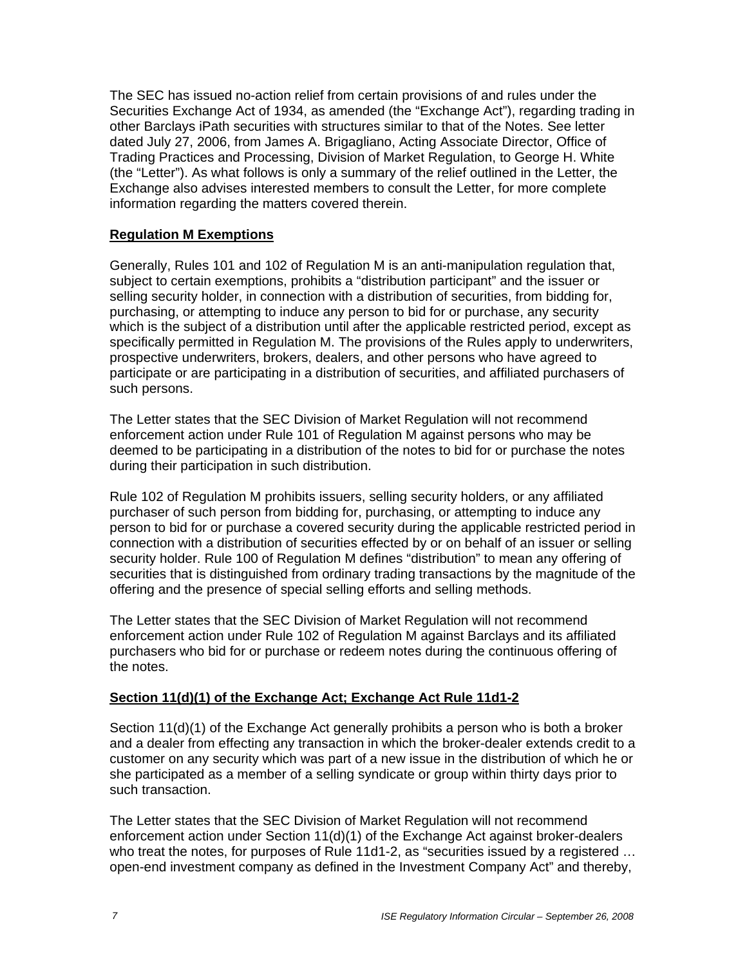The SEC has issued no-action relief from certain provisions of and rules under the Securities Exchange Act of 1934, as amended (the "Exchange Act"), regarding trading in other Barclays iPath securities with structures similar to that of the Notes. See letter dated July 27, 2006, from James A. Brigagliano, Acting Associate Director, Office of Trading Practices and Processing, Division of Market Regulation, to George H. White (the "Letter"). As what follows is only a summary of the relief outlined in the Letter, the Exchange also advises interested members to consult the Letter, for more complete information regarding the matters covered therein.

# **Regulation M Exemptions**

Generally, Rules 101 and 102 of Regulation M is an anti-manipulation regulation that, subject to certain exemptions, prohibits a "distribution participant" and the issuer or selling security holder, in connection with a distribution of securities, from bidding for, purchasing, or attempting to induce any person to bid for or purchase, any security which is the subject of a distribution until after the applicable restricted period, except as specifically permitted in Regulation M. The provisions of the Rules apply to underwriters, prospective underwriters, brokers, dealers, and other persons who have agreed to participate or are participating in a distribution of securities, and affiliated purchasers of such persons.

The Letter states that the SEC Division of Market Regulation will not recommend enforcement action under Rule 101 of Regulation M against persons who may be deemed to be participating in a distribution of the notes to bid for or purchase the notes during their participation in such distribution.

Rule 102 of Regulation M prohibits issuers, selling security holders, or any affiliated purchaser of such person from bidding for, purchasing, or attempting to induce any person to bid for or purchase a covered security during the applicable restricted period in connection with a distribution of securities effected by or on behalf of an issuer or selling security holder. Rule 100 of Regulation M defines "distribution" to mean any offering of securities that is distinguished from ordinary trading transactions by the magnitude of the offering and the presence of special selling efforts and selling methods.

The Letter states that the SEC Division of Market Regulation will not recommend enforcement action under Rule 102 of Regulation M against Barclays and its affiliated purchasers who bid for or purchase or redeem notes during the continuous offering of the notes.

# **Section 11(d)(1) of the Exchange Act; Exchange Act Rule 11d1-2**

Section 11(d)(1) of the Exchange Act generally prohibits a person who is both a broker and a dealer from effecting any transaction in which the broker-dealer extends credit to a customer on any security which was part of a new issue in the distribution of which he or she participated as a member of a selling syndicate or group within thirty days prior to such transaction.

The Letter states that the SEC Division of Market Regulation will not recommend enforcement action under Section 11(d)(1) of the Exchange Act against broker-dealers who treat the notes, for purposes of Rule 11d1-2, as "securities issued by a registered … open-end investment company as defined in the Investment Company Act" and thereby,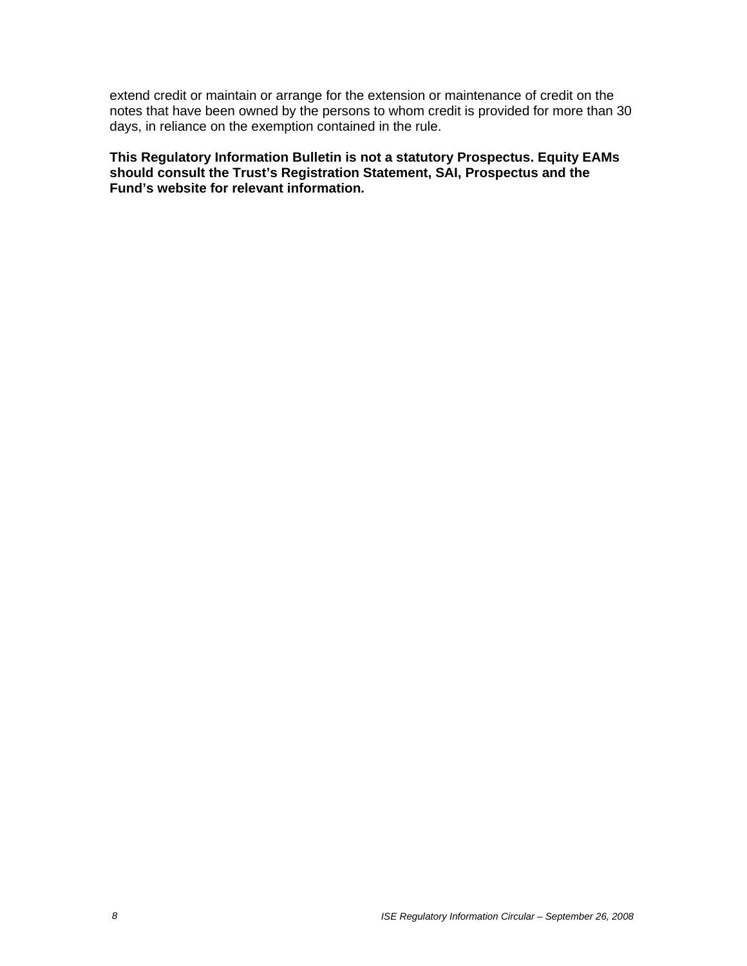extend credit or maintain or arrange for the extension or maintenance of credit on the notes that have been owned by the persons to whom credit is provided for more than 30 days, in reliance on the exemption contained in the rule.

**This Regulatory Information Bulletin is not a statutory Prospectus. Equity EAMs should consult the Trust's Registration Statement, SAI, Prospectus and the Fund's website for relevant information.**